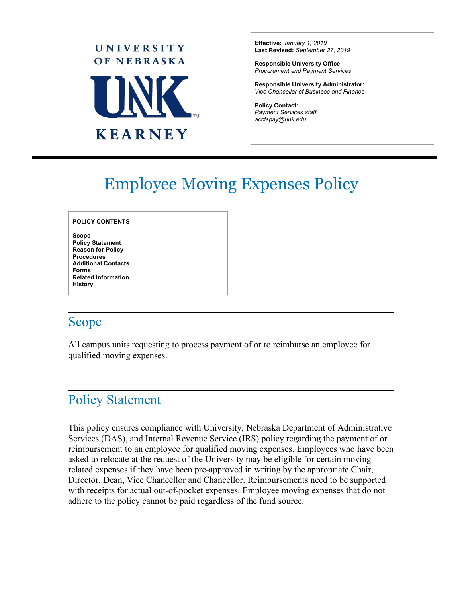

**Effective:** *January 1, 2019* **Last Revised:** *September 27, 2019*

**Responsible University Office:** *Procurement and Payment Services*

**Responsible University Administrator:** *Vice Chancellor of Business and Finance*

 $\overline{a}$ 

**Policy Contact:** *Payment Services staff acctspay@unk.edu*

# Employee Moving Expenses Policy

#### **POLICY CONTENTS**

**Scope Policy Statement Reason for Policy Procedures Additional Contacts Forms Related Information History**

### Scope

All campus units requesting to process payment of or to reimburse an employee for qualified moving expenses.

### Policy Statement

This policy ensures compliance with University, Nebraska Department of Administrative Services (DAS), and Internal Revenue Service (IRS) policy regarding the payment of or reimbursement to an employee for qualified moving expenses. Employees who have been asked to relocate at the request of the University may be eligible for certain moving related expenses if they have been pre-approved in writing by the appropriate Chair, Director, Dean, Vice Chancellor and Chancellor. Reimbursements need to be supported with receipts for actual out-of-pocket expenses. Employee moving expenses that do not adhere to the policy cannot be paid regardless of the fund source.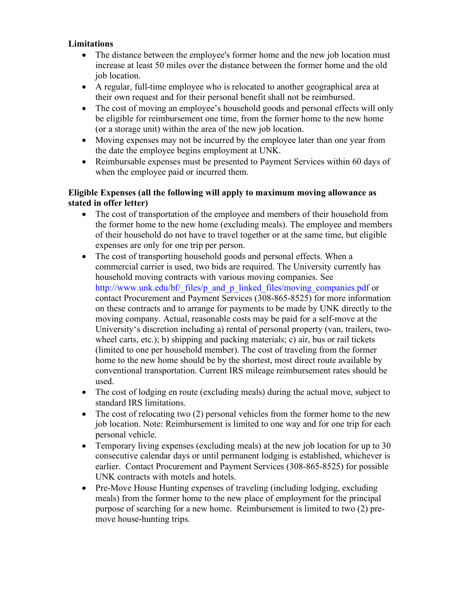#### **Limitations**

- The distance between the employee's former home and the new job location must increase at least 50 miles over the distance between the former home and the old job location.
- A regular, full-time employee who is relocated to another geographical area at their own request and for their personal benefit shall not be reimbursed.
- The cost of moving an employee's household goods and personal effects will only be eligible for reimbursement one time, from the former home to the new home (or a storage unit) within the area of the new job location.
- Moving expenses may not be incurred by the employee later than one year from the date the employee begins employment at UNK.
- Reimbursable expenses must be presented to Payment Services within 60 days of when the employee paid or incurred them.

### **Eligible Expenses (all the following will apply to maximum moving allowance as stated in offer letter)**

- The cost of transportation of the employee and members of their household from the former home to the new home (excluding meals). The employee and members of their household do not have to travel together or at the same time, but eligible expenses are only for one trip per person.
- The cost of transporting household goods and personal effects. When a commercial carrier is used, two bids are required. The University currently has household moving contracts with various moving companies. See http://www.unk.edu/bf/\_files/p\_and\_p\_linked\_files/moving\_companies.pdf or contact Procurement and Payment Services (308-865-8525) for more information on these contracts and to arrange for payments to be made by UNK directly to the moving company. Actual, reasonable costs may be paid for a self-move at the University's discretion including a) rental of personal property (van, trailers, twowheel carts, etc.); b) shipping and packing materials; c) air, bus or rail tickets (limited to one per household member). The cost of traveling from the former home to the new home should be by the shortest, most direct route available by conventional transportation. Current IRS mileage reimbursement rates should be used.
- The cost of lodging en route (excluding meals) during the actual move, subject to standard IRS limitations.
- The cost of relocating two (2) personal vehicles from the former home to the new job location. Note: Reimbursement is limited to one way and for one trip for each personal vehicle.
- Temporary living expenses (excluding meals) at the new job location for up to 30 consecutive calendar days or until permanent lodging is established, whichever is earlier. Contact Procurement and Payment Services (308-865-8525) for possible UNK contracts with motels and hotels.
- Pre-Move House Hunting expenses of traveling (including lodging, excluding meals) from the former home to the new place of employment for the principal purpose of searching for a new home. Reimbursement is limited to two (2) premove house-hunting trips.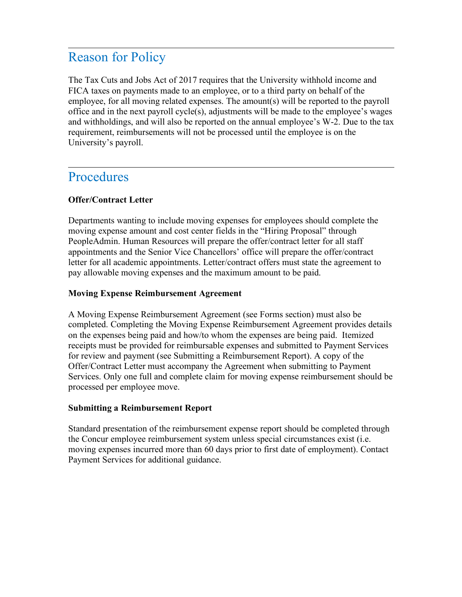### Reason for Policy

The Tax Cuts and Jobs Act of 2017 requires that the University withhold income and FICA taxes on payments made to an employee, or to a third party on behalf of the employee, for all moving related expenses. The amount(s) will be reported to the payroll office and in the next payroll cycle(s), adjustments will be made to the employee's wages and withholdings, and will also be reported on the annual employee's W-2. Due to the tax requirement, reimbursements will not be processed until the employee is on the University's payroll.

### Procedures

### **Offer/Contract Letter**

Departments wanting to include moving expenses for employees should complete the moving expense amount and cost center fields in the "Hiring Proposal" through PeopleAdmin. Human Resources will prepare the offer/contract letter for all staff appointments and the Senior Vice Chancellors' office will prepare the offer/contract letter for all academic appointments. Letter/contract offers must state the agreement to pay allowable moving expenses and the maximum amount to be paid.

#### **Moving Expense Reimbursement Agreement**

A Moving Expense Reimbursement Agreement (see Forms section) must also be completed. Completing the Moving Expense Reimbursement Agreement provides details on the expenses being paid and how/to whom the expenses are being paid. Itemized receipts must be provided for reimbursable expenses and submitted to Payment Services for review and payment (see Submitting a Reimbursement Report). A copy of the Offer/Contract Letter must accompany the Agreement when submitting to Payment Services. Only one full and complete claim for moving expense reimbursement should be processed per employee move.

#### **Submitting a Reimbursement Report**

Standard presentation of the reimbursement expense report should be completed through the Concur employee reimbursement system unless special circumstances exist (i.e. moving expenses incurred more than 60 days prior to first date of employment). Contact Payment Services for additional guidance.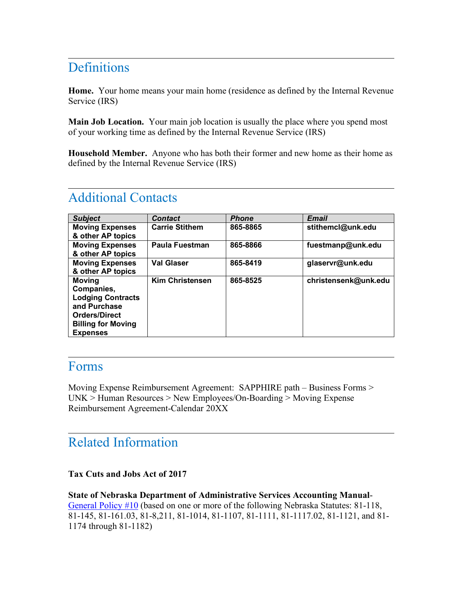### **Definitions**

**Home.** Your home means your main home (residence as defined by the Internal Revenue Service (IRS)

**Main Job Location.** Your main job location is usually the place where you spend most of your working time as defined by the Internal Revenue Service (IRS)

**Household Member.** Anyone who has both their former and new home as their home as defined by the Internal Revenue Service (IRS)

| <b>Subject</b>                                                                                                                                  | <b>Contact</b>         | <b>Phone</b> | <b>Email</b>         |
|-------------------------------------------------------------------------------------------------------------------------------------------------|------------------------|--------------|----------------------|
| <b>Moving Expenses</b><br>& other AP topics                                                                                                     | <b>Carrie Stithem</b>  | 865-8865     | stithemcl@unk.edu    |
| <b>Moving Expenses</b><br>& other AP topics                                                                                                     | Paula Fuestman         | 865-8866     | fuestmanp@unk.edu    |
| <b>Moving Expenses</b><br>& other AP topics                                                                                                     | <b>Val Glaser</b>      | 865-8419     | glaservr@unk.edu     |
| <b>Moving</b><br>Companies,<br><b>Lodging Contracts</b><br>and Purchase<br><b>Orders/Direct</b><br><b>Billing for Moving</b><br><b>Expenses</b> | <b>Kim Christensen</b> | 865-8525     | christensenk@unk.edu |

## Additional Contacts

### Forms

Moving Expense Reimbursement Agreement: SAPPHIRE path – Business Forms > UNK > Human Resources > New Employees/On-Boarding > Moving Expense Reimbursement Agreement-Calendar 20XX

 $\overline{a}$ 

### Related Information

**Tax Cuts and Jobs Act of 2017**

**State of Nebraska Department of Administrative Services Accounting Manual**-General Policy #10 (based on one or more of the following Nebraska Statutes: 81-118, 81-145, 81-161.03, 81-8,211, 81-1014, 81-1107, 81-1111, 81-1117.02, 81-1121, and 81- 1174 through 81-1182)